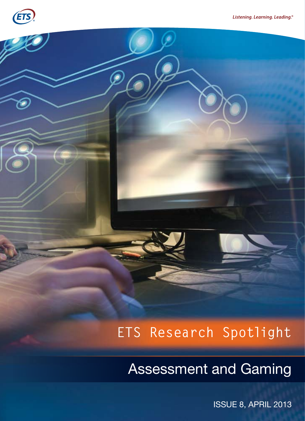

# **ETS Research Spotlight**

Assessment and Gaming

ISSUE 8, APRIL 2013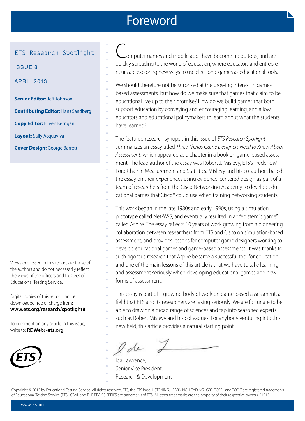### Foreword

 $\blacktriangle$  $\triangle$  $\blacktriangle$  $\triangle$  $\blacktriangle$ 

 $\triangle$  $\triangle$ 

 $\blacktriangle$ 

 $\blacktriangle$  $\triangle$  $\blacktriangle$ 

### **ETS Research Spotlight**

ISSUE 8

APRIL 2013

**Senior Editor:** Jeff Johnson

**Contributing Editor:** Hans Sandberg

**Copy Editor:** Eileen Kerrigan

**Layout:** Sally Acquaviva

**Cover Design:** George Barrett

Views expressed in this report are those of the authors and do not necessarily reflect the views of the officers and trustees of Educational Testing Service.

Digital copies of this report can be downloaded free of charge from: **www.ets.org/research/spotlight8**

To comment on any article in this issue, write to: **RDWeb@ets.org**



omputer games and mobile apps have become ubiquitous, and are quickly spreading to the world of education, where educators and entrepreneurs are exploring new ways to use electronic games as educational tools.

We should therefore not be surprised at the growing interest in gamebased assessments, but how do we make sure that games that claim to be educational live up to their promise? How do we build games that both support education by conveying and encouraging learning, and allow educators and educational policymakers to learn about what the students have learned?  $\triangle$  $\blacktriangle$  $\triangle$  $\blacktriangle$  $\triangle$  $\blacktriangle$  $\triangle$ 

The featured research synopsis in this issue of *ETS Research Spotlight*  $\triangle$  $\triangle$ 

- summarizes an essay titled *Three Things Game Designers Need to Know About*   $\triangle$
- *Assessment*, which appeared as a chapter in a book on game-based assess- $\triangle$
- ment. The lead author of the essay was Robert J. Mislevy, ETS's Frederic M.  $\triangle$
- Lord Chair in Measurement and Statistics. Mislevy and his co-authors based  $\triangle$
- the essay on their experiences using evidence-centered design as part of a team of researchers from the Cisco Networking Academy to develop edu- $\triangle$  $\triangle$ 
	- cational games that Cisco® could use when training networking students.

This work began in the late 1980s and early 1990s, using a simulation prototype called NetPASS, and eventually resulted in an "epistemic game" called Aspire. The essay reflects 10 years of work growing from a pioneering collaboration between researchers from ETS and Cisco on simulation-based assessment, and provides lessons for computer game designers working to develop educational games and game-based assessments. It was thanks to such rigorous research that Aspire became a successful tool for education, and one of the main lessons of this article is that we have to take learning and assessment seriously when developing educational games and new forms of assessment.  $\triangle$  $\triangle$  $\triangle$  $\triangle$  $\triangle$  $\triangle$  $\triangle$  $\triangle$  $\triangle$  $\triangle$  $\blacktriangle$ 

- This essay is part of a growing body of work on game-based assessment, a  $\triangle$
- field that ETS and its researchers are taking seriously. We are fortunate to be  $\blacktriangle$
- able to draw on a broad range of sciences and tap into seasoned experts  $\blacktriangle$
- such as Robert Mislevy and his colleagues. For anybody venturing into this new field, this article provides a natural starting point.  $\triangle$  $\blacktriangle$

- Ida Lawrence,  $\blacktriangle$
- Senior Vice President,  $\triangle$
- Research & Development  $\triangle$  $\blacktriangle$

Copyright © 2013 by Educational Testing Service. All rights reserved. ETS, the ETS logo, LISTENING. LEARNING. LEADING., GRE, TOEFL and TOEIC are registered trademarks of Educational Testing Service (ETS). CBAL and THE PRAXIS SERIES are trademarks of ETS. All other trademarks are the property of their respective owners. 21913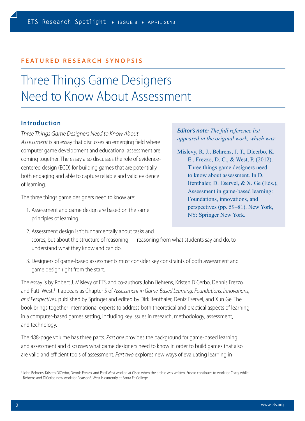#### **FEATURED RESEARCH SYNOPSIS**

### Three Things Game Designers Need to Know About Assessment

#### **Introduction**

*Three Things Game Designers Need to Know About Assessment* is an essay that discusses an emerging field where computer game development and educational assessment are coming together. The essay also discusses the role of evidencecentered design (ECD) for building games that are potentially both engaging and able to capture reliable and valid evidence of learning.

The three things game designers need to know are:

1. Assessment and game design are based on the same principles of learning.

#### *Editor's note: The full reference list appeared in the original work, which was:*

Mislevy, R. J., Behrens, J. T., Dicerbo, K. E., Frezzo, D. C., & West, P. (2012). Three things game designers need to know about assessment. In D. Ifenthaler, D. Eservel, & X. Ge (Eds.), Assessment in game-based learning: Foundations, innovations, and perspectives (pp. 59–81). New York, NY: Springer New York.

- 2. Assessment design isn't fundamentally about tasks and scores, but about the structure of reasoning — reasoning from what students say and do, to understand what they know and can do.
- 3. Designers of game-based assessments must consider key constraints of both assessment and game design right from the start.

The essay is by Robert J. Mislevy of ETS and co-authors John Behrens, Kristen DiCerbo, Dennis Frezzo, and Patti West.<sup>1</sup> It appears as Chapter 5 of Assessment in Game-Based Learning: Foundations, Innovations, *and Perspectives,* published by Springer and edited by Dirk Ifenthaler, Deniz Eservel, and Xun Ge. The book brings together international experts to address both theoretical and practical aspects of learning in a computer-based games setting, including key issues in research, methodology, assessment, and technology.

The 488-page volume has three parts. *Part one* provides the background for game-based learning and assessment and discusses what game designers need to know in order to build games that also are valid and efficient tools of assessment. *Part two* explores new ways of evaluating learning in

<sup>&</sup>lt;sup>1</sup> John Behrens, Kristen DiCerbo, Dennis Frezzo, and Patti West worked at Cisco when the article was written. Frezzo continues to work for Cisco, while Behrens and DiCerbo now work for Pearson®. West is currently at Santa Fe College.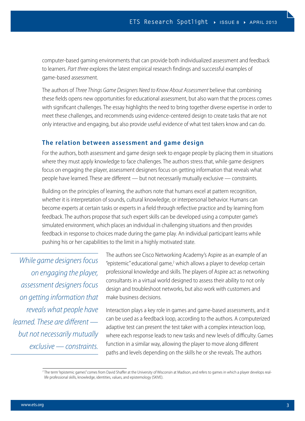computer-based gaming environments that can provide both individualized assessment and feedback to learners. *Part three* explores the latest empirical research findings and successful examples of game-based assessment.

The authors of *Three Things Game Designers Need to Know About Assessment* believe that combining these fields opens new opportunities for educational assessment, but also warn that the process comes with significant challenges. The essay highlights the need to bring together diverse expertise in order to meet these challenges, and recommends using evidence-centered design to create tasks that are not only interactive and engaging, but also provide useful evidence of what test takers know and can do.

#### **The relation between assessment and game design**

For the authors, both assessment and game design seek to engage people by placing them in situations where they must apply knowledge to face challenges. The authors stress that, while game designers focus on engaging the player, assessment designers focus on getting information that reveals what people have learned. These are different — but not necessarily mutually exclusive — constraints.

Building on the principles of learning, the authors note that humans excel at pattern recognition, whether it is interpretation of sounds, cultural knowledge, or interpersonal behavior. Humans can become experts at certain tasks or experts in a field through reflective practice and by learning from feedback. The authors propose that such expert skills can be developed using a computer game's simulated environment, which places an individual in challenging situations and then provides feedback in response to choices made during the game play. An individual participant learns while pushing his or her capabilities to the limit in a highly motivated state.

*While game designers focus on engaging the player, assessment designers focus on getting information that reveals what people have learned. These are different but not necessarily mutually exclusive — constraints.*

The authors see Cisco Networking Academy's Aspire as an example of an "epistemic" educational game,<sup>2</sup> which allows a player to develop certain professional knowledge and skills. The players of Aspire act as networking consultants in a virtual world designed to assess their ability to not only design and troubleshoot networks, but also work with customers and make business decisions.

Interaction plays a key role in games and game-based assessments, and it can be used as a feedback loop, according to the authors. A computerized adaptive test can present the test taker with a complex interaction loop, where each response leads to new tasks and new levels of difficulty. Games function in a similar way, allowing the player to move along different paths and levels depending on the skills he or she reveals. The authors

<sup>&</sup>lt;sup>2</sup> The term "epistemic games" comes from David Shaffer at the University of Wisconsin at Madison, and refers to games in which a player develops reallife professional skills, knowledge, identities, values, and epistemology (SKIVE).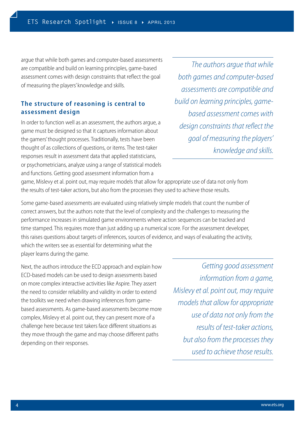argue that while both games and computer-based assessments are compatible and build on learning principles, game-based assessment comes with design constraints that reflect the goal of measuring the players' knowledge and skills.

#### **The structure of reasoning is central to assessment design**

In order to function well as an assessment, the authors argue, a game must be designed so that it captures information about the gamers' thought processes. Traditionally, tests have been thought of as collections of questions, or items. The test-taker responses result in assessment data that applied statisticians, or psychometricians, analyze using a range of statistical models and functions. Getting good assessment information from a

*The authors argue that while both games and computer-based assessments are compatible and build on learning principles, gamebased assessment comes with design constraints that reflect the goal of measuring the players' knowledge and skills.* 

game, Mislevy et al. point out, may require models that allow for appropriate use of data not only from the results of test-taker actions, but also from the processes they used to achieve those results.

Some game-based assessments are evaluated using relatively simple models that count the number of correct answers, but the authors note that the level of complexity and the challenges to measuring the performance increases in simulated game environments where action sequences can be tracked and time stamped. This requires more than just adding up a numerical score. For the assessment developer, this raises questions about targets of inferences, sources of evidence, and ways of evaluating the activity, which the writers see as essential for determining what the player learns during the game.

Next, the authors introduce the ECD approach and explain how ECD-based models can be used to design assessments based on more complex interactive activities like Aspire. They assert the need to consider reliability and validity in order to extend the toolkits we need when drawing inferences from gamebased assessments. As game-based assessments become more complex, Mislevy et al. point out, they can present more of a challenge here because test takers face different situations as they move through the game and may choose different paths depending on their responses.

*Getting good assessment information from a game, Mislevy et al. point out, may require models that allow for appropriate use of data not only from the results of test-taker actions, but also from the processes they used to achieve those results.*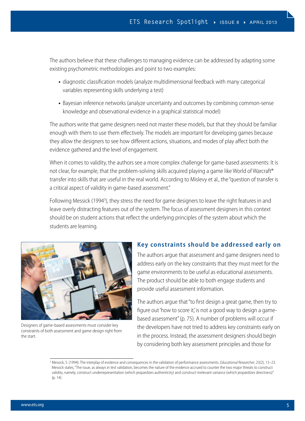The authors believe that these challenges to managing evidence can be addressed by adapting some existing psychometric methodologies and point to two examples:

- **•** diagnostic classification models (analyze multidimensional feedback with many categorical variables representing skills underlying a test)
- **•** Bayesian inference networks (analyze uncertainty and outcomes by combining common-sense knowledge and observational evidence in a graphical statistical model)

The authors write that game designers need not master these models, but that they should be familiar enough with them to use them effectively. The models are important for developing games because they allow the designers to see how different actions, situations, and modes of play affect both the evidence gathered and the level of engagement.

When it comes to validity, the authors see a more complex challenge for game-based assessments: It is not clear, for example, that the problem-solving skills acquired playing a game like World of Warcraft® transfer into skills that are useful in the real world. According to Mislevy et al., the "question of transfer is a critical aspect of validity in game-based assessment."

Following Messick (1994<sup>3</sup>), they stress the need for game designers to leave the right features in and leave overly distracting features out of the system. The focus of assessment designers in this context should be on student actions that reflect the underlying principles of the system about which the students are learning.



Designers of game-based assessments must consider key constraints of both assessment and game design right from the start.

#### **Key constraints should be addressed early on**

The authors argue that assessment and game designers need to address early on the key constraints that they must meet for the game environments to be useful as educational assessments. The product should be able to both engage students and provide useful assessment information.

The authors argue that "to first design a great game, then try to figure out 'how to score it,' is not a good way to design a gamebased assessment" (p. 75). A number of problems will occur if the developers have not tried to address key constraints early on in the process. Instead, the assessment designers should begin by considering both key assessment principles and those for

<sup>3</sup> Messick, S. (1994). The interplay of evidence and consequences in the validation of performance assessments. *Educational Researcher*, 23(2), 13–23. Messick states, "The issue, as always in test validation, becomes the nature of the evidence accrued to counter the two major threats to construct validity, namely, construct underrepresentation (which jeopardizes authenticity) and construct-irrelevant variance (which jeopardizes directness)" (p. 14).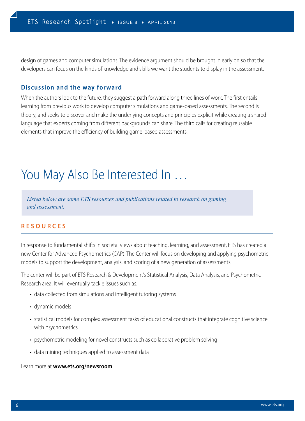design of games and computer simulations. The evidence argument should be brought in early on so that the developers can focus on the kinds of knowledge and skills we want the students to display in the assessment.

#### **Discussion and the way forward**

When the authors look to the future, they suggest a path forward along three lines of work. The first entails learning from previous work to develop computer simulations and game-based assessments. The second is theory, and seeks to discover and make the underlying concepts and principles explicit while creating a shared language that experts coming from different backgrounds can share. The third calls for creating reusable elements that improve the efficiency of building game-based assessments.

## You May Also Be Interested In …

*Listed below are some ETS resources and publications related to research on gaming and assessment.*

#### **RESOURCES**

In response to fundamental shifts in societal views about teaching, learning, and assessment, ETS has created a new Center for Advanced Psychometrics (CAP). The Center will focus on developing and applying psychometric models to support the development, analysis, and scoring of a new generation of assessments.

The center will be part of ETS Research & Development's Statistical Analysis, Data Analysis, and Psychometric Research area. It will eventually tackle issues such as:

- data collected from simulations and intelligent tutoring systems
- dynamic models
- statistical models for complex assessment tasks of educational constructs that integrate cognitive science with psychometrics
- psychometric modeling for novel constructs such as collaborative problem solving
- data mining techniques applied to assessment data

Learn more at **[www.ets.org/newsroom](http://www.ets.org/newsroom)**.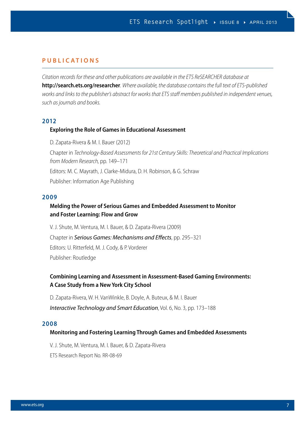#### **PUBLICATIONS**

*Citation records for these and other publications are available in the ETS ReSEARCHER database at*  **<http://search.ets.org/researcher>***. Where available, the database contains the full text of ETS-published works and links to the publisher's abstract for works that ETS staff members published in independent venues, such as journals and books.*

#### **2012**

#### **Exploring the Role of Games in Educational Assessment**

D. Zapata-Rivera & M. I. Bauer (2012) Chapter in *Technology-Based Assessments for 21st Century Skills: Theoretical and Practical Implications from Modern Research,* pp. 149–171 Editors: M. C. Mayrath, J. Clarke-Midura, D. H. Robinson, & G. Schraw Publisher: Information Age Publishing

#### **2009**

#### **Melding the Power of Serious Games and Embedded Assessment to Monitor and Foster Learning: Flow and Grow**

V. J. Shute, M. Ventura, M. I. Bauer, & D. Zapata-Rivera (2009) Chapter in *Serious Games: Mechanisms and Effects*, pp. 295–321 Editors: U. Ritterfeld, M. J. Cody, & P. Vorderer Publisher: Routledge

#### **Combining Learning and Assessment in Assessment-Based Gaming Environments: A Case Study from a New York City School**

D. Zapata-Rivera, W. H. VanWinkle, B. Doyle, A. Buteux, & M. I. Bauer

#### *Interactive Technology and Smart Education*, Vol. 6, No. 3, pp. 173–188

#### **2008**

#### **Monitoring and Fostering Learning Through Games and Embedded Assessments**

V. J. Shute, M. Ventura, M. I. Bauer, & D. Zapata-Rivera

ETS Research Report No. RR-08-69